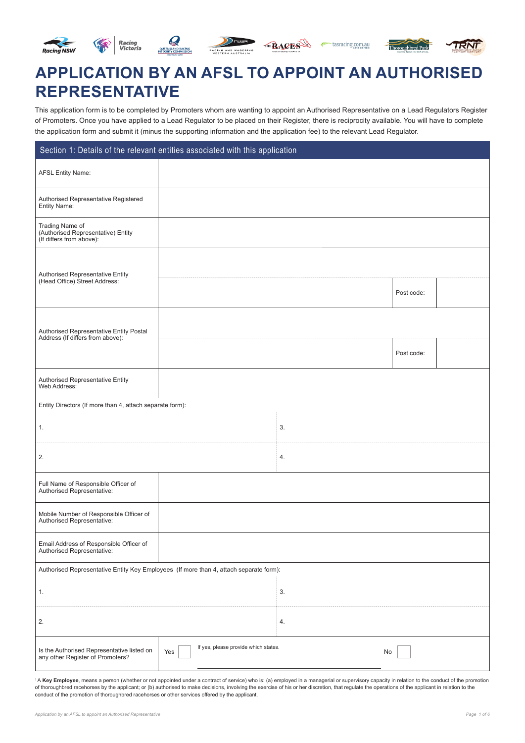





THE RACES etasracing.com.au



# **APPLICATION BY AN AFSL TO APPOINT AN AUTHORISED REPRESENTATIVE**

This application form is to be completed by Promoters whom are wanting to appoint an Authorised Representative on a Lead Regulators Register of Promoters. Once you have applied to a Lead Regulator to be placed on their Register, there is reciprocity available. You will have to complete the application form and submit it (minus the supporting information and the application fee) to the relevant Lead Regulator.

| Section 1: Details of the relevant entities associated with this application           |                                             |    |            |  |
|----------------------------------------------------------------------------------------|---------------------------------------------|----|------------|--|
| <b>AFSL Entity Name:</b>                                                               |                                             |    |            |  |
| Authorised Representative Registered<br>Entity Name:                                   |                                             |    |            |  |
| Trading Name of<br>(Authorised Representative) Entity<br>(If differs from above):      |                                             |    |            |  |
| Authorised Representative Entity                                                       |                                             |    |            |  |
| (Head Office) Street Address:                                                          |                                             |    | Post code: |  |
| Authorised Representative Entity Postal<br>Address (If differs from above):            |                                             |    |            |  |
|                                                                                        |                                             |    | Post code: |  |
| <b>Authorised Representative Entity</b><br>Web Address:                                |                                             |    |            |  |
| Entity Directors (If more than 4, attach separate form):                               |                                             |    |            |  |
| 1.                                                                                     |                                             | 3. |            |  |
| 2.                                                                                     |                                             | 4. |            |  |
| Full Name of Responsible Officer of<br>Authorised Representative:                      |                                             |    |            |  |
| Mobile Number of Responsible Officer of<br>Authorised Representative:                  |                                             |    |            |  |
| Email Address of Responsible Officer of<br>Authorised Representative:                  |                                             |    |            |  |
| Authorised Representative Entity Key Employees (If more than 4, attach separate form): |                                             |    |            |  |
| 1.                                                                                     |                                             | 3. |            |  |
| 2.                                                                                     |                                             | 4. |            |  |
| Is the Authorised Representative listed on<br>any other Register of Promoters?         | If yes, please provide which states.<br>Yes | No |            |  |

<sup>1</sup>A Key Employee, means a person (whether or not appointed under a contract of service) who is: (a) employed in a managerial or supervisory capacity in relation to the conduct of the promotion of thoroughbred racehorses by the applicant; or (b) authorised to make decisions, involving the exercise of his or her discretion, that regulate the operations of the applicant in relation to the conduct of the promotion of thoroughbred racehorses or other services offered by the applicant.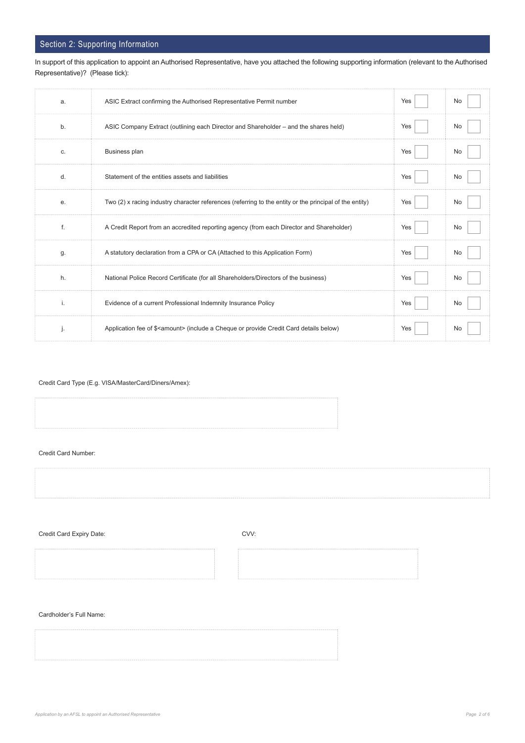## Section 2: Supporting Information

In support of this application to appoint an Authorised Representative, have you attached the following supporting information (relevant to the Authorised Representative)? (Please tick):

| a. | ASIC Extract confirming the Authorised Representative Permit number                                     | Yes | No |
|----|---------------------------------------------------------------------------------------------------------|-----|----|
| b. | ASIC Company Extract (outlining each Director and Shareholder – and the shares held)                    | Yes | No |
| C. | <b>Business plan</b>                                                                                    | Yes | No |
| d. | Statement of the entities assets and liabilities                                                        | Yes | No |
| е. | Two (2) x racing industry character references (referring to the entity or the principal of the entity) | Yes | No |
| f. | A Credit Report from an accredited reporting agency (from each Director and Shareholder)                | Yes | No |
| g. | A statutory declaration from a CPA or CA (Attached to this Application Form)                            | Yes | No |
| h. | National Police Record Certificate (for all Shareholders/Directors of the business)                     | Yes | No |
| j. | Evidence of a current Professional Indemnity Insurance Policy                                           | Yes | No |
| j. | Application fee of \$ <amount> (include a Cheque or provide Credit Card details below)</amount>         | Yes | No |

Credit Card Type (E.g. VISA/MasterCard/Diners/Amex):

Credit Card Number:

Credit Card Expiry Date: CVV:

Cardholder's Full Name: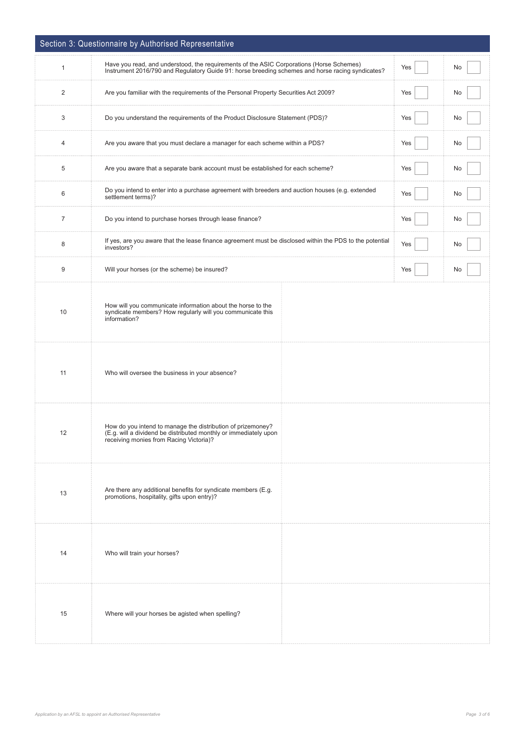|                | Section 3: Questionnaire by Authorised Representative                                                                                                                                        |     |    |
|----------------|----------------------------------------------------------------------------------------------------------------------------------------------------------------------------------------------|-----|----|
| $\mathbf{1}$   | Have you read, and understood, the requirements of the ASIC Corporations (Horse Schemes)<br>Instrument 2016/790 and Regulatory Guide 91: horse breeding schemes and horse racing syndicates? | Yes | No |
| $\overline{c}$ | Are you familiar with the requirements of the Personal Property Securities Act 2009?                                                                                                         | Yes | No |
| 3              | Do you understand the requirements of the Product Disclosure Statement (PDS)?                                                                                                                | Yes | No |
| 4              | Are you aware that you must declare a manager for each scheme within a PDS?                                                                                                                  | Yes | No |
| 5              | Are you aware that a separate bank account must be established for each scheme?                                                                                                              | Yes | No |
| 6              | Do you intend to enter into a purchase agreement with breeders and auction houses (e.g. extended<br>settlement terms)?                                                                       | Yes | No |
| 7              | Do you intend to purchase horses through lease finance?                                                                                                                                      | Yes | No |
| 8              | If yes, are you aware that the lease finance agreement must be disclosed within the PDS to the potential<br>investors?                                                                       | Yes | No |
| 9              | Will your horses (or the scheme) be insured?                                                                                                                                                 | Yes | No |
| 10             | How will you communicate information about the horse to the<br>syndicate members? How regularly will you communicate this<br>information?                                                    |     |    |
| 11             | Who will oversee the business in your absence?                                                                                                                                               |     |    |
| 12             | How do you intend to manage the distribution of prizemoney?<br>(E.g. will a dividend be distributed monthly or immediately upon<br>receiving monies from Racing Victoria)?                   |     |    |
| 13             | Are there any additional benefits for syndicate members (E.g.<br>promotions, hospitality, gifts upon entry)?                                                                                 |     |    |
| 14             | Who will train your horses?                                                                                                                                                                  |     |    |
| 15             | Where will your horses be agisted when spelling?                                                                                                                                             |     |    |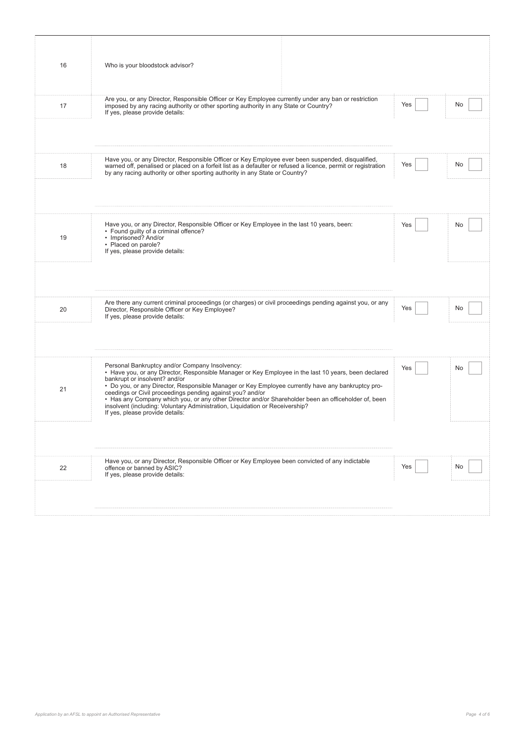| 16 | Who is your bloodstock advisor?                                                                                                                                                                                                                                                                                                                                                                                                                                                                                                                                                     |     |    |
|----|-------------------------------------------------------------------------------------------------------------------------------------------------------------------------------------------------------------------------------------------------------------------------------------------------------------------------------------------------------------------------------------------------------------------------------------------------------------------------------------------------------------------------------------------------------------------------------------|-----|----|
| 17 | Are you, or any Director, Responsible Officer or Key Employee currently under any ban or restriction<br>imposed by any racing authority or other sporting authority in any State or Country?<br>If yes, please provide details:                                                                                                                                                                                                                                                                                                                                                     | Yes | No |
| 18 | Have you, or any Director, Responsible Officer or Key Employee ever been suspended, disqualified,<br>warned off, penalised or placed on a forfeit list as a defaulter or refused a licence, permit or registration<br>by any racing authority or other sporting authority in any State or Country?                                                                                                                                                                                                                                                                                  | Yes | No |
|    |                                                                                                                                                                                                                                                                                                                                                                                                                                                                                                                                                                                     |     |    |
| 19 | Have you, or any Director, Responsible Officer or Key Employee in the last 10 years, been:<br>• Found guilty of a criminal offence?<br>• Imprisoned? And/or<br>• Placed on parole?<br>If yes, please provide details:                                                                                                                                                                                                                                                                                                                                                               | Yes | No |
|    |                                                                                                                                                                                                                                                                                                                                                                                                                                                                                                                                                                                     |     |    |
| 20 | Are there any current criminal proceedings (or charges) or civil proceedings pending against you, or any<br>Director, Responsible Officer or Key Employee?<br>If yes, please provide details:                                                                                                                                                                                                                                                                                                                                                                                       | Yes | No |
|    |                                                                                                                                                                                                                                                                                                                                                                                                                                                                                                                                                                                     |     |    |
| 21 | Personal Bankruptcy and/or Company Insolvency:<br>• Have you, or any Director, Responsible Manager or Key Employee in the last 10 years, been declared<br>bankrupt or insolvent? and/or<br>• Do you, or any Director, Responsible Manager or Key Employee currently have any bankruptcy pro-<br>ceedings or Civil proceedings pending against you? and/or<br>• Has any Company which you, or any other Director and/or Shareholder been an officeholder of, been<br>insolvent (including: Voluntary Administration, Liquidation or Receivership?<br>If yes, please provide details: | Yes | No |
|    |                                                                                                                                                                                                                                                                                                                                                                                                                                                                                                                                                                                     |     |    |
| 22 | Have you, or any Director, Responsible Officer or Key Employee been convicted of any indictable<br>offence or banned by ASIC?<br>If yes, please provide details:                                                                                                                                                                                                                                                                                                                                                                                                                    | Yes | No |
|    |                                                                                                                                                                                                                                                                                                                                                                                                                                                                                                                                                                                     |     |    |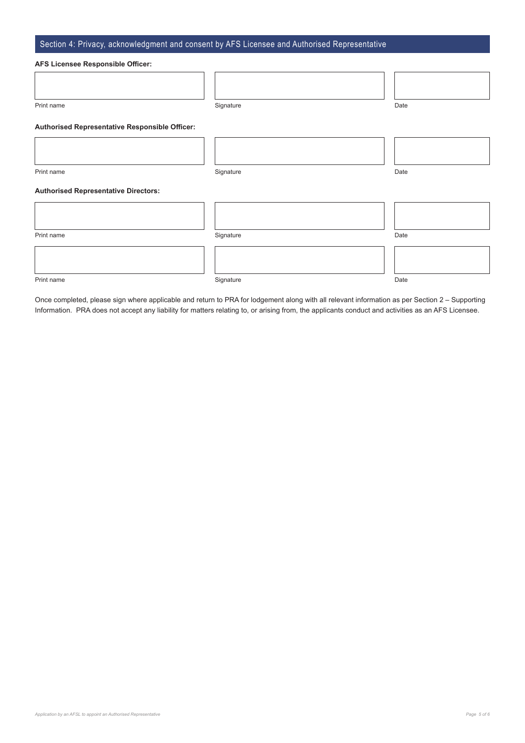### Section 4: Privacy, acknowledgment and consent by AFS Licensee and Authorised Representative

#### **AFS Licensee Responsible Officer:**

| Prin<br>1d I<br>.<br>. . |  |
|--------------------------|--|

#### **Authorised Representative Responsible Officer:**

Print name Signature Date

#### **Authorised Representative Directors:**

| Print name | Signature | Date |
|------------|-----------|------|
|            |           |      |
|            |           |      |

Print name Signature Date

Once completed, please sign where applicable and return to PRA for lodgement along with all relevant information as per Section 2 – Supporting Information. PRA does not accept any liability for matters relating to, or arising from, the applicants conduct and activities as an AFS Licensee.